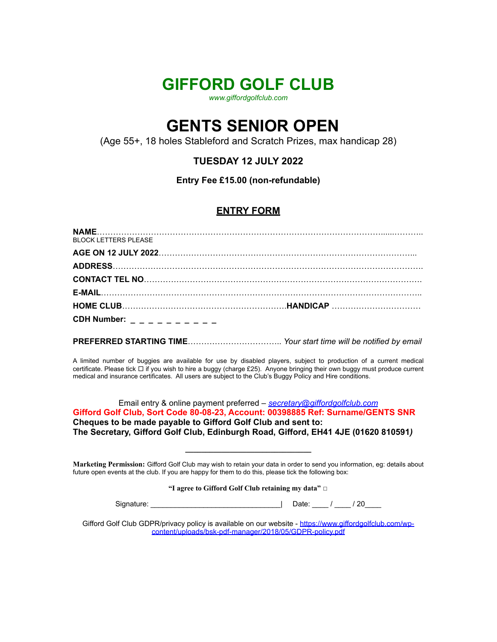## **GIFFORD GOLF CLUB**

*[www.giffordgolfclub.com](http://www.giffordgolfclub.com/)*

# **GENTS SENIOR OPEN**

(Age 55+, 18 holes Stableford and Scratch Prizes, max handicap 28)

### **TUESDAY 12 JULY 2022**

**Entry Fee £15.00 (non-refundable)**

#### **ENTRY FORM**

| <b>BLOCK LETTERS PLEASE</b>   |  |
|-------------------------------|--|
|                               |  |
|                               |  |
|                               |  |
|                               |  |
|                               |  |
| CDH Number: $- - - - - - - -$ |  |

**PREFERRED STARTING TIME**…………………………….. *Your start time will be notified by email*

A limited number of buggies are available for use by disabled players, subject to production of a current medical certificate. Please tick  $\Box$  if you wish to hire a buggy (charge £25). Anyone bringing their own buggy must produce current medical and insurance certificates. All users are subject to the Club's Buggy Policy and Hire conditions.

Email entry & online payment preferred *– [secretary@giffordgolfclub.com](mailto:secretary@giffordgolfclub.com)* **Gifford Golf Club, Sort Code 80-08-23, Account: 00398885 Ref: Surname/GENTS SNR Cheques to be made payable to Gifford Golf Club and sent to: The Secretary, Gifford Golf Club, Edinburgh Road, Gifford, EH41 4JE (01620 810591***)*

**Marketing Permission:** Gifford Golf Club may wish to retain your data in order to send you information, eg: details about future open events at the club. If you are happy for them to do this, please tick the following box:

**\_\_\_\_\_\_\_\_\_\_\_\_\_\_\_\_\_\_\_\_\_\_\_\_\_\_\_\_\_\_\_**

**"I agree to Gifford Golf Club retaining my data"** ☐

| Signature: | Date: | 20 |
|------------|-------|----|
|            |       |    |

Gifford Golf Club GDPR/privacy policy is available on our website - [https://www.giffordgolfclub.com/wp](https://www.giffordgolfclub.com/wp-content/uploads/bsk-pdf-manager/2018/05/GDPR-policy.pdf)[content/uploads/bsk-pdf-manager/2018/05/GDPR-policy.pdf](https://www.giffordgolfclub.com/wp-content/uploads/bsk-pdf-manager/2018/05/GDPR-policy.pdf)